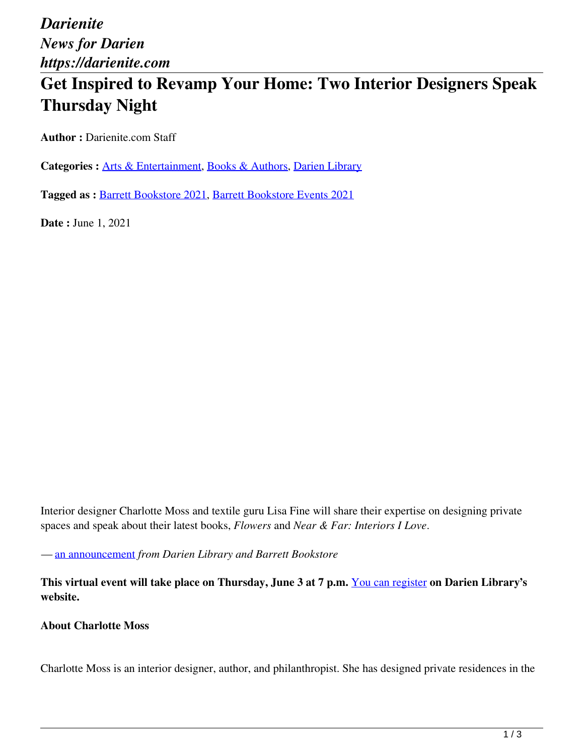*Darienite News for Darien https://darienite.com*

## **Get Inspired to Revamp Your Home: Two Interior Designers Speak Thursday Night**

**Author :** Darienite.com Staff

Categories : **[Arts & Entertainment](https://darienite.com/category/arts-entertainment)**, Books & Authors, Darien Library

**Tagged as :** Barrett Bookstore 2021, Barrett Bookstore Events 2021

**Date : June 1, 2021** 

Interior designer Charlotte Moss and textile guru Lisa Fine will share their expertise on designing private spaces and speak about their latest books, *Flowers* and *Near & Far: Interiors I Love*.

*—* an announcement *from Darien Library and Barrett Bookstore*

**This virtual event will take place on Thursday, June 3 at 7 p.m.** You can register **on Darien Library's website.**

**About Charlotte Moss**

Charlotte Moss is an interior designer, author, and philanthropist. She has designed private residences in the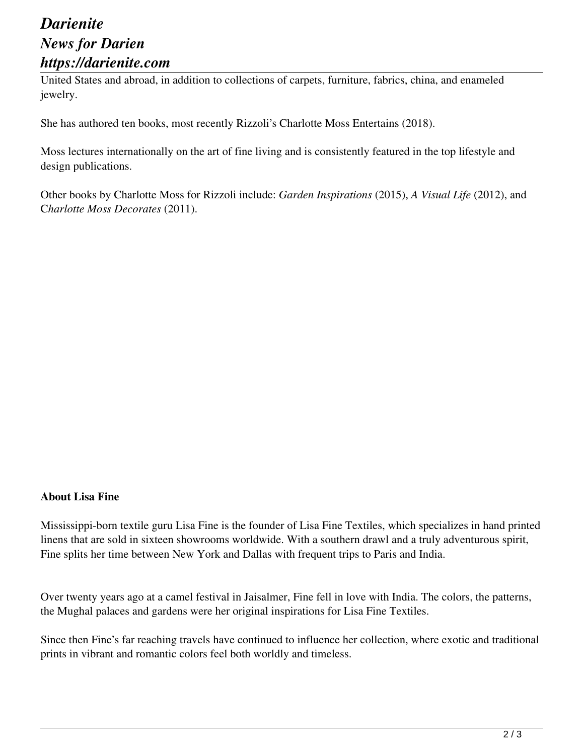## *Darienite News for Darien https://darienite.com*

United States and abroad, in addition to collections of carpets, furniture, fabrics, china, and enameled jewelry.

She has authored ten books, most recently Rizzoli's Charlotte Moss Entertains (2018).

Moss lectures internationally on the art of fine living and is consistently featured in the top lifestyle and design publications.

Other books by Charlotte Moss for Rizzoli include: *Garden Inspirations* (2015), *A Visual Life* (2012), and C*harlotte Moss Decorates* (2011).

## **About Lisa Fine**

Mississippi-born textile guru Lisa Fine is the founder of Lisa Fine Textiles, which specializes in hand printed linens that are sold in sixteen showrooms worldwide. With a southern drawl and a truly adventurous spirit, Fine splits her time between New York and Dallas with frequent trips to Paris and India.

Over twenty years ago at a camel festival in Jaisalmer, Fine fell in love with India. The colors, the patterns, the Mughal palaces and gardens were her original inspirations for Lisa Fine Textiles.

Since then Fine's far reaching travels have continued to influence her collection, where exotic and traditional prints in vibrant and romantic colors feel both worldly and timeless.